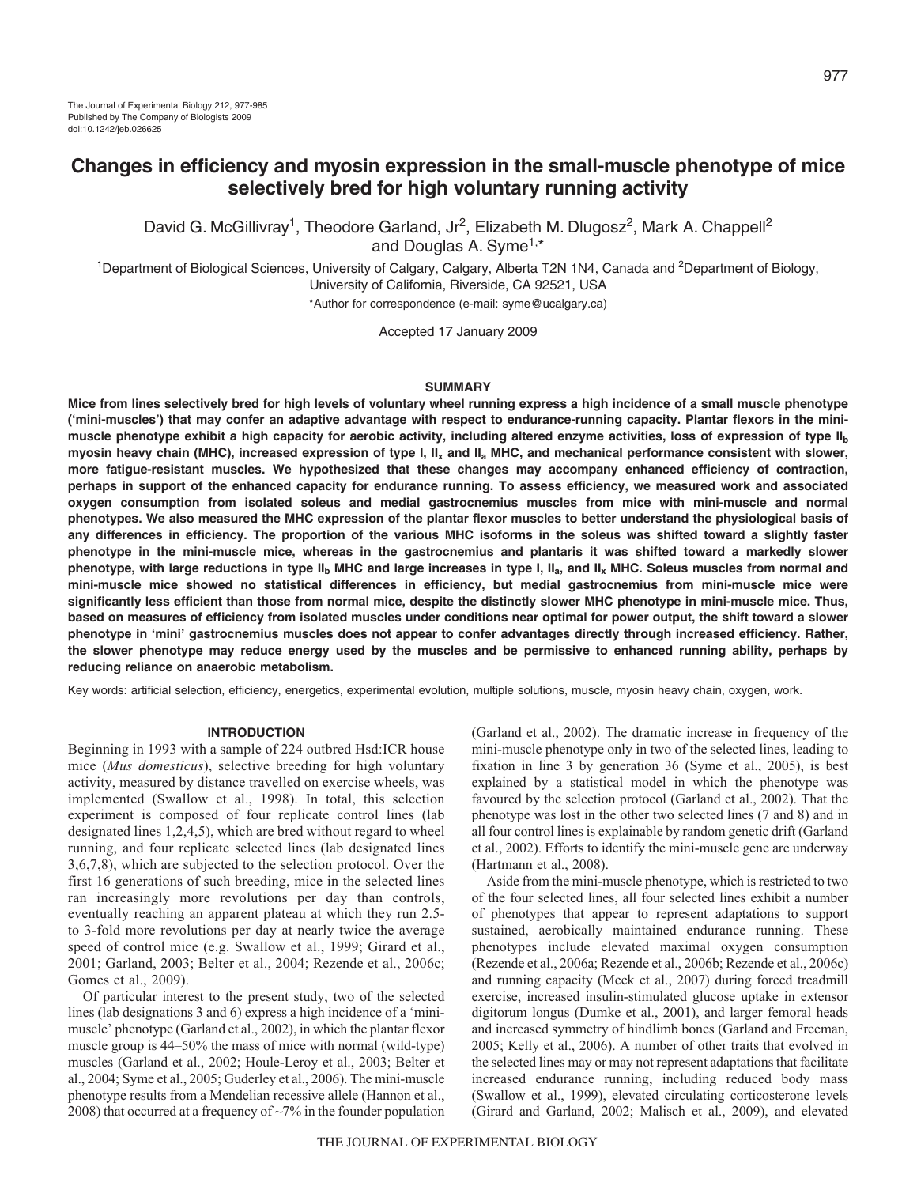# **Changes in efficiency and myosin expression in the small-muscle phenotype of mice selectively bred for high voluntary running activity**

David G. McGillivray<sup>1</sup>, Theodore Garland, Jr<sup>2</sup>, Elizabeth M. Dlugosz<sup>2</sup>, Mark A. Chappell<sup>2</sup> and Douglas A. Syme<sup>1,\*</sup>

<sup>1</sup>Department of Biological Sciences, University of Calgary, Calgary, Alberta T2N 1N4, Canada and <sup>2</sup>Department of Biology, University of California, Riverside, CA 92521, USA

\*Author for correspondence (e-mail: syme@ucalgary.ca)

Accepted 17 January 2009

### **SUMMARY**

**Mice from lines selectively bred for high levels of voluntary wheel running express a high incidence of a small muscle phenotype ('mini-muscles') that may confer an adaptive advantage with respect to endurance-running capacity. Plantar flexors in the minimuscle phenotype exhibit a high capacity for aerobic activity, including altered enzyme activities, loss of expression of type IIb myosin heavy chain (MHC), increased expression of type I, IIx and IIa MHC, and mechanical performance consistent with slower, more fatigue-resistant muscles. We hypothesized that these changes may accompany enhanced efficiency of contraction, perhaps in support of the enhanced capacity for endurance running. To assess efficiency, we measured work and associated oxygen consumption from isolated soleus and medial gastrocnemius muscles from mice with mini-muscle and normal phenotypes. We also measured the MHC expression of the plantar flexor muscles to better understand the physiological basis of any differences in efficiency. The proportion of the various MHC isoforms in the soleus was shifted toward a slightly faster phenotype in the mini-muscle mice, whereas in the gastrocnemius and plantaris it was shifted toward a markedly slower phenotype, with large reductions in type IIb MHC and large increases in type I, IIa, and IIx MHC. Soleus muscles from normal and mini-muscle mice showed no statistical differences in efficiency, but medial gastrocnemius from mini-muscle mice were significantly less efficient than those from normal mice, despite the distinctly slower MHC phenotype in mini-muscle mice. Thus, based on measures of efficiency from isolated muscles under conditions near optimal for power output, the shift toward a slower phenotype in 'mini' gastrocnemius muscles does not appear to confer advantages directly through increased efficiency. Rather, the slower phenotype may reduce energy used by the muscles and be permissive to enhanced running ability, perhaps by reducing reliance on anaerobic metabolism.**

Key words: artificial selection, efficiency, energetics, experimental evolution, multiple solutions, muscle, myosin heavy chain, oxygen, work.

# **INTRODUCTION**

Beginning in 1993 with a sample of 224 outbred Hsd:ICR house mice (*Mus domesticus*), selective breeding for high voluntary activity, measured by distance travelled on exercise wheels, was implemented (Swallow et al., 1998). In total, this selection experiment is composed of four replicate control lines (lab designated lines 1,2,4,5), which are bred without regard to wheel running, and four replicate selected lines (lab designated lines 3,6,7,8), which are subjected to the selection protocol. Over the first 16 generations of such breeding, mice in the selected lines ran increasingly more revolutions per day than controls, eventually reaching an apparent plateau at which they run 2.5 to 3-fold more revolutions per day at nearly twice the average speed of control mice (e.g. Swallow et al., 1999; Girard et al., 2001; Garland, 2003; Belter et al., 2004; Rezende et al., 2006c; Gomes et al., 2009).

Of particular interest to the present study, two of the selected lines (lab designations 3 and 6) express a high incidence of a 'minimuscle' phenotype (Garland et al., 2002), in which the plantar flexor muscle group is 44–50% the mass of mice with normal (wild-type) muscles (Garland et al., 2002; Houle-Leroy et al., 2003; Belter et al., 2004; Syme et al., 2005; Guderley et al., 2006). The mini-muscle phenotype results from a Mendelian recessive allele (Hannon et al., 2008) that occurred at a frequency of  $\sim$ 7% in the founder population (Garland et al., 2002). The dramatic increase in frequency of the mini-muscle phenotype only in two of the selected lines, leading to fixation in line 3 by generation 36 (Syme et al., 2005), is best explained by a statistical model in which the phenotype was favoured by the selection protocol (Garland et al., 2002). That the phenotype was lost in the other two selected lines (7 and 8) and in all four control lines is explainable by random genetic drift (Garland et al., 2002). Efforts to identify the mini-muscle gene are underway (Hartmann et al., 2008).

Aside from the mini-muscle phenotype, which is restricted to two of the four selected lines, all four selected lines exhibit a number of phenotypes that appear to represent adaptations to support sustained, aerobically maintained endurance running. These phenotypes include elevated maximal oxygen consumption (Rezende et al., 2006a; Rezende et al., 2006b; Rezende et al., 2006c) and running capacity (Meek et al., 2007) during forced treadmill exercise, increased insulin-stimulated glucose uptake in extensor digitorum longus (Dumke et al., 2001), and larger femoral heads and increased symmetry of hindlimb bones (Garland and Freeman, 2005; Kelly et al., 2006). A number of other traits that evolved in the selected lines may or may not represent adaptations that facilitate increased endurance running, including reduced body mass (Swallow et al., 1999), elevated circulating corticosterone levels (Girard and Garland, 2002; Malisch et al., 2009), and elevated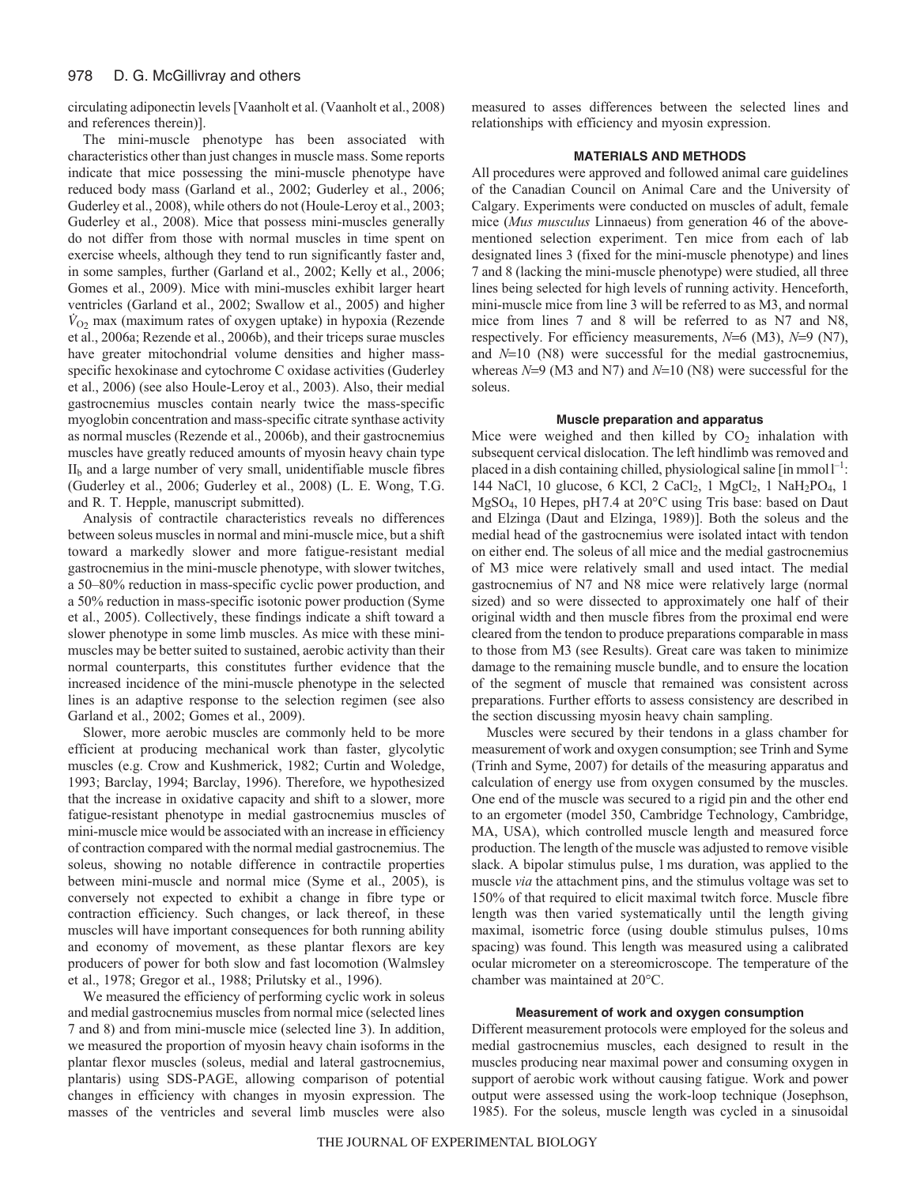circulating adiponectin levels [Vaanholt et al. (Vaanholt et al., 2008) and references therein)].

The mini-muscle phenotype has been associated with characteristics other than just changes in muscle mass. Some reports indicate that mice possessing the mini-muscle phenotype have reduced body mass (Garland et al., 2002; Guderley et al., 2006; Guderley et al., 2008), while others do not (Houle-Leroy et al., 2003; Guderley et al., 2008). Mice that possess mini-muscles generally do not differ from those with normal muscles in time spent on exercise wheels, although they tend to run significantly faster and, in some samples, further (Garland et al., 2002; Kelly et al., 2006; Gomes et al., 2009). Mice with mini-muscles exhibit larger heart ventricles (Garland et al., 2002; Swallow et al., 2005) and higher  $\dot{V}_{O2}$  max (maximum rates of oxygen uptake) in hypoxia (Rezende et al., 2006a; Rezende et al., 2006b), and their triceps surae muscles have greater mitochondrial volume densities and higher massspecific hexokinase and cytochrome C oxidase activities (Guderley et al., 2006) (see also Houle-Leroy et al., 2003). Also, their medial gastrocnemius muscles contain nearly twice the mass-specific myoglobin concentration and mass-specific citrate synthase activity as normal muscles (Rezende et al., 2006b), and their gastrocnemius muscles have greatly reduced amounts of myosin heavy chain type  $II<sub>b</sub>$  and a large number of very small, unidentifiable muscle fibres (Guderley et al., 2006; Guderley et al., 2008) (L. E. Wong, T.G. and R. T. Hepple, manuscript submitted).

Analysis of contractile characteristics reveals no differences between soleus muscles in normal and mini-muscle mice, but a shift toward a markedly slower and more fatigue-resistant medial gastrocnemius in the mini-muscle phenotype, with slower twitches, a 50–80% reduction in mass-specific cyclic power production, and a 50% reduction in mass-specific isotonic power production (Syme et al., 2005). Collectively, these findings indicate a shift toward a slower phenotype in some limb muscles. As mice with these minimuscles may be better suited to sustained, aerobic activity than their normal counterparts, this constitutes further evidence that the increased incidence of the mini-muscle phenotype in the selected lines is an adaptive response to the selection regimen (see also Garland et al., 2002; Gomes et al., 2009).

Slower, more aerobic muscles are commonly held to be more efficient at producing mechanical work than faster, glycolytic muscles (e.g. Crow and Kushmerick, 1982; Curtin and Woledge, 1993; Barclay, 1994; Barclay, 1996). Therefore, we hypothesized that the increase in oxidative capacity and shift to a slower, more fatigue-resistant phenotype in medial gastrocnemius muscles of mini-muscle mice would be associated with an increase in efficiency of contraction compared with the normal medial gastrocnemius. The soleus, showing no notable difference in contractile properties between mini-muscle and normal mice (Syme et al., 2005), is conversely not expected to exhibit a change in fibre type or contraction efficiency. Such changes, or lack thereof, in these muscles will have important consequences for both running ability and economy of movement, as these plantar flexors are key producers of power for both slow and fast locomotion (Walmsley et al., 1978; Gregor et al., 1988; Prilutsky et al., 1996).

We measured the efficiency of performing cyclic work in soleus and medial gastrocnemius muscles from normal mice (selected lines 7 and 8) and from mini-muscle mice (selected line 3). In addition, we measured the proportion of myosin heavy chain isoforms in the plantar flexor muscles (soleus, medial and lateral gastrocnemius, plantaris) using SDS-PAGE, allowing comparison of potential changes in efficiency with changes in myosin expression. The masses of the ventricles and several limb muscles were also measured to asses differences between the selected lines and relationships with efficiency and myosin expression.

# **MATERIALS AND METHODS**

All procedures were approved and followed animal care guidelines of the Canadian Council on Animal Care and the University of Calgary. Experiments were conducted on muscles of adult, female mice (*Mus musculus* Linnaeus) from generation 46 of the abovementioned selection experiment. Ten mice from each of lab designated lines 3 (fixed for the mini-muscle phenotype) and lines 7 and 8 (lacking the mini-muscle phenotype) were studied, all three lines being selected for high levels of running activity. Henceforth, mini-muscle mice from line 3 will be referred to as M3, and normal mice from lines 7 and 8 will be referred to as N7 and N8, respectively. For efficiency measurements, *N*=6 (M3), *N*=9 (N7), and *N*=10 (N8) were successful for the medial gastrocnemius, whereas *N*=9 (M3 and N7) and *N*=10 (N8) were successful for the soleus.

# **Muscle preparation and apparatus**

Mice were weighed and then killed by  $CO<sub>2</sub>$  inhalation with subsequent cervical dislocation. The left hindlimb was removed and placed in a dish containing chilled, physiological saline  $\lceil \text{in mmol} \rceil^{-1}$ : 144 NaCl, 10 glucose, 6 KCl, 2 CaCl<sub>2</sub>, 1 MgCl<sub>2</sub>, 1 NaH<sub>2</sub>PO<sub>4</sub>, 1 MgSO4, 10 Hepes, pH7.4 at 20°C using Tris base: based on Daut and Elzinga (Daut and Elzinga, 1989)]. Both the soleus and the medial head of the gastrocnemius were isolated intact with tendon on either end. The soleus of all mice and the medial gastrocnemius of M3 mice were relatively small and used intact. The medial gastrocnemius of N7 and N8 mice were relatively large (normal sized) and so were dissected to approximately one half of their original width and then muscle fibres from the proximal end were cleared from the tendon to produce preparations comparable in mass to those from M3 (see Results). Great care was taken to minimize damage to the remaining muscle bundle, and to ensure the location of the segment of muscle that remained was consistent across preparations. Further efforts to assess consistency are described in the section discussing myosin heavy chain sampling.

Muscles were secured by their tendons in a glass chamber for measurement of work and oxygen consumption; see Trinh and Syme (Trinh and Syme, 2007) for details of the measuring apparatus and calculation of energy use from oxygen consumed by the muscles. One end of the muscle was secured to a rigid pin and the other end to an ergometer (model 350, Cambridge Technology, Cambridge, MA, USA), which controlled muscle length and measured force production. The length of the muscle was adjusted to remove visible slack. A bipolar stimulus pulse, 1ms duration, was applied to the muscle *via* the attachment pins, and the stimulus voltage was set to 150% of that required to elicit maximal twitch force. Muscle fibre length was then varied systematically until the length giving maximal, isometric force (using double stimulus pulses, 10ms spacing) was found. This length was measured using a calibrated ocular micrometer on a stereomicroscope. The temperature of the chamber was maintained at 20°C.

# **Measurement of work and oxygen consumption**

Different measurement protocols were employed for the soleus and medial gastrocnemius muscles, each designed to result in the muscles producing near maximal power and consuming oxygen in support of aerobic work without causing fatigue. Work and power output were assessed using the work-loop technique (Josephson, 1985). For the soleus, muscle length was cycled in a sinusoidal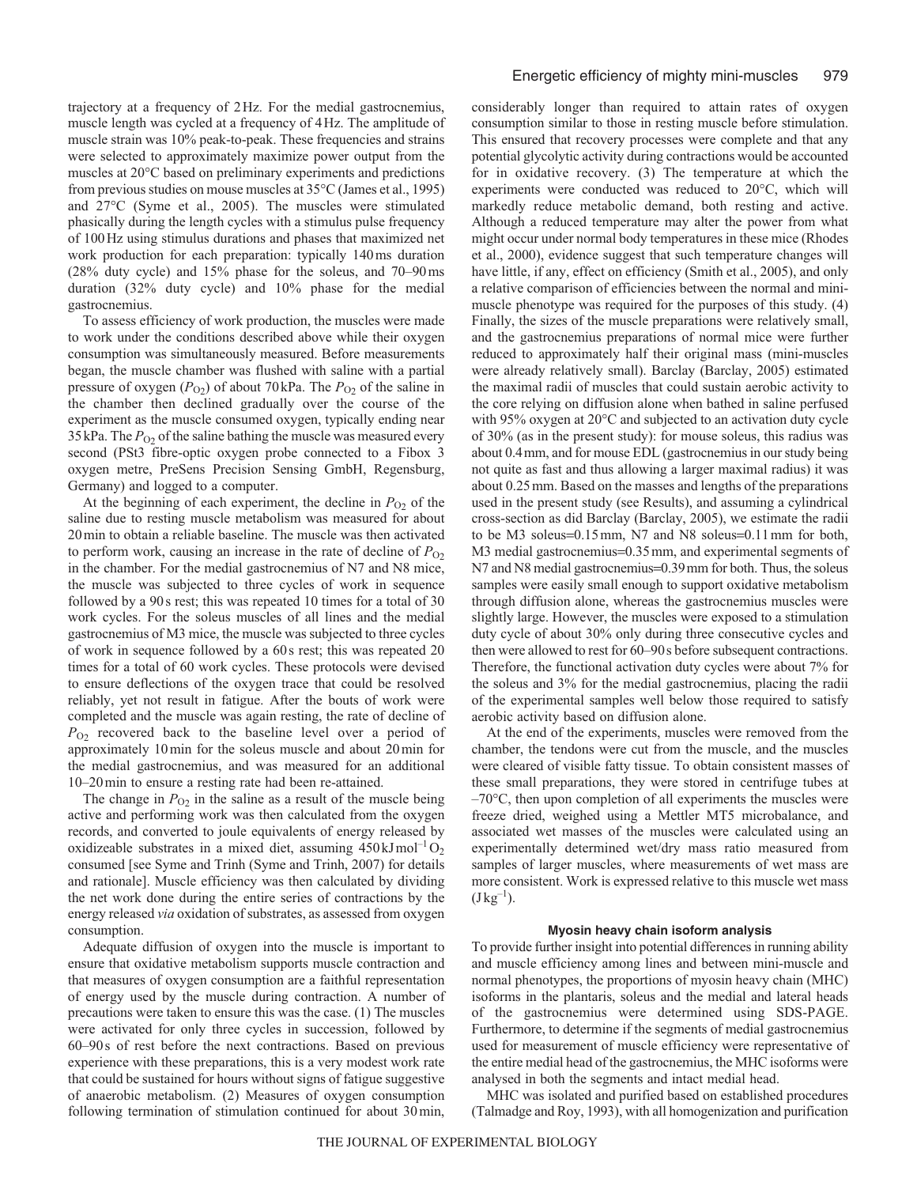trajectory at a frequency of 2Hz. For the medial gastrocnemius, muscle length was cycled at a frequency of 4Hz. The amplitude of muscle strain was 10% peak-to-peak. These frequencies and strains were selected to approximately maximize power output from the muscles at 20°C based on preliminary experiments and predictions from previous studies on mouse muscles at 35°C (James et al., 1995) and 27°C (Syme et al., 2005). The muscles were stimulated phasically during the length cycles with a stimulus pulse frequency of 100Hz using stimulus durations and phases that maximized net work production for each preparation: typically 140ms duration (28% duty cycle) and 15% phase for the soleus, and 70–90ms duration (32% duty cycle) and 10% phase for the medial gastrocnemius.

To assess efficiency of work production, the muscles were made to work under the conditions described above while their oxygen consumption was simultaneously measured. Before measurements began, the muscle chamber was flushed with saline with a partial pressure of oxygen  $(P_{O2})$  of about 70 kPa. The  $P_{O2}$  of the saline in the chamber then declined gradually over the course of the experiment as the muscle consumed oxygen, typically ending near  $35$  kPa. The  $P_{O2}$  of the saline bathing the muscle was measured every second (PSt3 fibre-optic oxygen probe connected to a Fibox 3 oxygen metre, PreSens Precision Sensing GmbH, Regensburg, Germany) and logged to a computer.

At the beginning of each experiment, the decline in  $P<sub>O2</sub>$  of the saline due to resting muscle metabolism was measured for about 20min to obtain a reliable baseline. The muscle was then activated to perform work, causing an increase in the rate of decline of  $P_{O<sub>2</sub>}$ in the chamber. For the medial gastrocnemius of N7 and N8 mice, the muscle was subjected to three cycles of work in sequence followed by a 90s rest; this was repeated 10 times for a total of 30 work cycles. For the soleus muscles of all lines and the medial gastrocnemius of M3 mice, the muscle was subjected to three cycles of work in sequence followed by a 60s rest; this was repeated 20 times for a total of 60 work cycles. These protocols were devised to ensure deflections of the oxygen trace that could be resolved reliably, yet not result in fatigue. After the bouts of work were completed and the muscle was again resting, the rate of decline of  $P_{O_2}$  recovered back to the baseline level over a period of approximately 10min for the soleus muscle and about 20min for the medial gastrocnemius, and was measured for an additional 10–20min to ensure a resting rate had been re-attained.

The change in  $P_{O_2}$  in the saline as a result of the muscle being active and performing work was then calculated from the oxygen records, and converted to joule equivalents of energy released by oxidizeable substrates in a mixed diet, assuming  $450 \text{ kJ} \text{mol}^{-1} \text{O}_2$ consumed [see Syme and Trinh (Syme and Trinh, 2007) for details and rationale]. Muscle efficiency was then calculated by dividing the net work done during the entire series of contractions by the energy released *via* oxidation of substrates, as assessed from oxygen consumption.

Adequate diffusion of oxygen into the muscle is important to ensure that oxidative metabolism supports muscle contraction and that measures of oxygen consumption are a faithful representation of energy used by the muscle during contraction. A number of precautions were taken to ensure this was the case. (1) The muscles were activated for only three cycles in succession, followed by 60–90s of rest before the next contractions. Based on previous experience with these preparations, this is a very modest work rate that could be sustained for hours without signs of fatigue suggestive of anaerobic metabolism. (2) Measures of oxygen consumption following termination of stimulation continued for about 30min, considerably longer than required to attain rates of oxygen consumption similar to those in resting muscle before stimulation. This ensured that recovery processes were complete and that any potential glycolytic activity during contractions would be accounted for in oxidative recovery. (3) The temperature at which the experiments were conducted was reduced to 20°C, which will markedly reduce metabolic demand, both resting and active. Although a reduced temperature may alter the power from what might occur under normal body temperatures in these mice (Rhodes et al., 2000), evidence suggest that such temperature changes will have little, if any, effect on efficiency (Smith et al., 2005), and only a relative comparison of efficiencies between the normal and minimuscle phenotype was required for the purposes of this study. (4) Finally, the sizes of the muscle preparations were relatively small, and the gastrocnemius preparations of normal mice were further reduced to approximately half their original mass (mini-muscles were already relatively small). Barclay (Barclay, 2005) estimated the maximal radii of muscles that could sustain aerobic activity to the core relying on diffusion alone when bathed in saline perfused with 95% oxygen at 20°C and subjected to an activation duty cycle of 30% (as in the present study): for mouse soleus, this radius was about 0.4mm, and for mouse EDL (gastrocnemius in our study being not quite as fast and thus allowing a larger maximal radius) it was about 0.25mm. Based on the masses and lengths of the preparations used in the present study (see Results), and assuming a cylindrical cross-section as did Barclay (Barclay, 2005), we estimate the radii to be M3 soleus=0.15mm, N7 and N8 soleus=0.11mm for both, M3 medial gastrocnemius=0.35 mm, and experimental segments of N7 and N8 medial gastrocnemius=0.39mm for both. Thus, the soleus samples were easily small enough to support oxidative metabolism through diffusion alone, whereas the gastrocnemius muscles were slightly large. However, the muscles were exposed to a stimulation duty cycle of about 30% only during three consecutive cycles and then were allowed to rest for 60–90s before subsequent contractions. Therefore, the functional activation duty cycles were about 7% for the soleus and 3% for the medial gastrocnemius, placing the radii of the experimental samples well below those required to satisfy aerobic activity based on diffusion alone.

At the end of the experiments, muscles were removed from the chamber, the tendons were cut from the muscle, and the muscles were cleared of visible fatty tissue. To obtain consistent masses of these small preparations, they were stored in centrifuge tubes at  $-70^{\circ}$ C, then upon completion of all experiments the muscles were freeze dried, weighed using a Mettler MT5 microbalance, and associated wet masses of the muscles were calculated using an experimentally determined wet/dry mass ratio measured from samples of larger muscles, where measurements of wet mass are more consistent. Work is expressed relative to this muscle wet mass  $(J \text{kg}^{-1})$ .

#### **Myosin heavy chain isoform analysis**

To provide further insight into potential differences in running ability and muscle efficiency among lines and between mini-muscle and normal phenotypes, the proportions of myosin heavy chain (MHC) isoforms in the plantaris, soleus and the medial and lateral heads of the gastrocnemius were determined using SDS-PAGE. Furthermore, to determine if the segments of medial gastrocnemius used for measurement of muscle efficiency were representative of the entire medial head of the gastrocnemius, the MHC isoforms were analysed in both the segments and intact medial head.

MHC was isolated and purified based on established procedures (Talmadge and Roy, 1993), with all homogenization and purification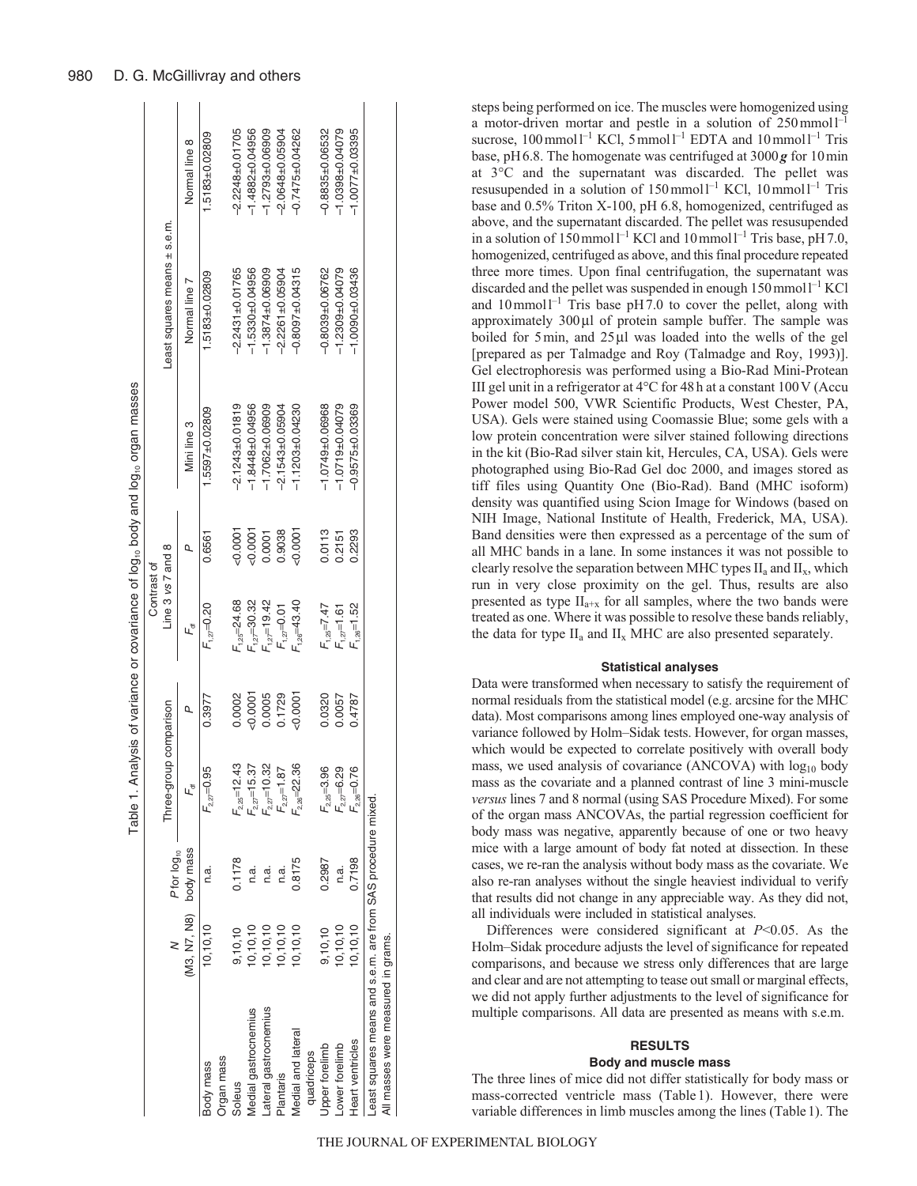|                                                             |                        |                         |                    |              |                    |           | Table 1. Analysis of variance or covariance of log <sub>10</sub> body and log <sub>10</sub> organ masses |                              |                       |
|-------------------------------------------------------------|------------------------|-------------------------|--------------------|--------------|--------------------|-----------|----------------------------------------------------------------------------------------------------------|------------------------------|-----------------------|
|                                                             |                        |                         |                    |              | Contrast of        |           |                                                                                                          |                              |                       |
|                                                             |                        | P for log <sub>10</sub> | Three-grou         | p comparison | Line 3 vs 7 and 8  |           |                                                                                                          | Least squares means ± s.e.m. |                       |
|                                                             | (M3, N7, N8) body mass |                         | L۴                 | Q            | ۳,                 | Q         | Mini line 3                                                                                              | Normal line 7                | Normal line 8         |
| Body mass                                                   | 10, 10, 10             | n.a.                    | $F_{2,27}=0.95$    | 0.3977       | $F_{1,27}$ =0.20   | 0.6561    | $.5597 + 0.02809$                                                                                        | 1.5183±0.02809               | 1.5183±0.02809        |
| <b>Drgan mass</b>                                           |                        |                         |                    |              |                    |           |                                                                                                          |                              |                       |
| Soleus                                                      | 9,10,10                | 0.1178                  | $F_{2,25}$ =12.43  | 0.0002       | $F_{1,25} = 24.68$ | $-0.0001$ | $-2.1243 + 0.01819$                                                                                      | $-2.2431 + 0.01765$          | $-2.2248 + 0.01705$   |
| Medial gastrocnemius                                        | 0,10,10                | n.a.                    | $F_{2,27}$ =15.37  | 50.0001      | $F_{1,27} = 30.32$ | $-0.0001$ | $-1.8448 + 0.04956$                                                                                      | $-1.5330 + 0.04956$          | $-1.4882 + 0.04956$   |
| -ateral gastrocnemius                                       | 0,10,10                | n.a.                    | $F_{2,27}$ =10.32  | 0.0005       | $F_{1,27}$ =19.42  | 1,000     | $-1.7062 + 0.06909$                                                                                      | $-1.3874 + 0.06909$          | $-1.2793 + 0.06909$   |
| Plantaris                                                   | 0,10,10                | n.a.                    | $F_{2,27} = 1.87$  | 0.1729       | $F_{1,27}=0.01$    | 0.9038    | $-2.1543 + 0.05904$                                                                                      | $-2.2261 + 0.05904$          | $-2.0648 + 0.05904$   |
| Medial and lateral                                          | 0,10,10                | 0.8175                  | $t_{2,26} = 22.36$ | $-0.0001$    | $F_{1,26} = 43.40$ | $-0.0001$ | $-1.1203 + 0.04230$                                                                                      | $-0.8097 + 0.04315$          | $-0.7475 \pm 0.04262$ |
| quadriceps                                                  |                        |                         |                    |              |                    |           |                                                                                                          |                              |                       |
| Upper forelimb                                              | 9,10,10                | 0.2987                  | $F_{2,25} = 3.96$  | 0.0320       | $F_{1,25} = 7.47$  | 0.0113    | $-1.0749 + 0.06968$                                                                                      | $-0.8039 + 0.06762$          | $-0.8835 \pm 0.06532$ |
| Lower forelimb                                              | 10, 10, 10             | n.a.                    | $F_{2,27}$ = 6.29  | 0.0057       | $F_{1,27}$ =1.61   | 0.2151    | $-1.0719 + 0.04079$                                                                                      | $-1.2309 + 0.04079$          | $-1.0398 + 0.04079$   |
| Heart ventricles                                            | 0,10,10                | 0.7198                  | $F_{2,26}$ =0.76   | 0.4787       | $F_{1,26}$ =1.52   | 0.2293    | $-0.9575 \pm 0.03369$                                                                                    | $-1.0090 + 0.03436$          | $-1.0077 + 0.03395$   |
| Least squares means and s.e.m. are from SAS procedure mixed |                        |                         |                    |              |                    |           |                                                                                                          |                              |                       |
| All masses were measured in grams.                          |                        |                         |                    |              |                    |           |                                                                                                          |                              |                       |

steps being performed on ice. The muscles were homogenized using a motor-driven mortar and pestle in a solution of  $250$  mmoll<sup>-1</sup> sucrose,  $100$  mmol<sup>1-1</sup> KCl,  $5$  mmol<sup>1-1</sup> EDTA and  $10$  mmol<sup>1-1</sup> Tris base, pH6.8. The homogenate was centrifuged at 3000*g* for 10min at 3°C and the supernatant was discarded. The pellet was resusupended in a solution of  $150$  mmol<sup>1-1</sup> KCl,  $10$  mmol<sup>1-1</sup> Tris base and 0.5% Triton X-100, pH 6.8, homogenized, centrifuged as above, and the supernatant discarded. The pellet was resusupended in a solution of 150 mmol<sup>1-1</sup> KCl and 10 mmol<sup>1-1</sup> Tris base, pH7.0, homogenized, centrifuged as above, and this final procedure repeated three more times. Upon final centrifugation, the supernatant was discarded and the pellet was suspended in enough  $150$  mmol $1^{-1}$  KCl and  $10$  mmol<sup> $-1$ </sup> Tris base pH7.0 to cover the pellet, along with approximately 300μl of protein sample buffer. The sample was boiled for 5min, and 25μl was loaded into the wells of the gel [prepared as per Talmadge and Roy (Talmadge and Roy, 1993)]. Gel electrophoresis was performed using a Bio-Rad Mini-Protean III gel unit in a refrigerator at  $4^{\circ}$ C for 48h at a constant 100 V (Accu Power model 500, VWR Scientific Products, West Chester, PA, USA). Gels were stained using Coomassie Blue; some gels with a low protein concentration were silver stained following directions in the kit (Bio-Rad silver stain kit, Hercules, CA, USA). Gels were photographed using Bio-Rad Gel doc 2000, and images stored as tiff files using Quantity One (Bio-Rad). Band (MHC isoform) density was quantified using Scion Image for Windows (based on NIH Image, National Institute of Health, Frederick, MA, USA). Band densities were then expressed as a percentage of the sum of all MHC bands in a lane. In some instances it was not possible to clearly resolve the separation between MHC types  $II_a$  and  $II_x$ , which run in very close proximity on the gel. Thus, results are also presented as type  $II_{a+x}$  for all samples, where the two bands were treated as one. Where it was possible to resolve these bands reliably, the data for type  $II_a$  and  $II_x$  MHC are also presented separately.

#### **Statistical analyses**

Data were transformed when necessary to satisfy the requirement of normal residuals from the statistical model (e.g. arcsine for the MHC data). Most comparisons among lines employed one-way analysis of variance followed by Holm–Sidak tests. However, for organ masses, which would be expected to correlate positively with overall body mass, we used analysis of covariance (ANCOVA) with  $log_{10}$  body mass as the covariate and a planned contrast of line 3 mini-muscle *versus* lines 7 and 8 normal (using SAS Procedure Mixed). For some of the organ mass ANCOVAs, the partial regression coefficient for body mass was negative, apparently because of one or two heavy mice with a large amount of body fat noted at dissection. In these cases, we re-ran the analysis without body mass as the covariate. We also re-ran analyses without the single heaviest individual to verify that results did not change in any appreciable way. As they did not, all individuals were included in statistical analyses.

Differences were considered significant at *P*<0.05. As the Holm–Sidak procedure adjusts the level of significance for repeated comparisons, and because we stress only differences that are large and clear and are not attempting to tease out small or marginal effects, we did not apply further adjustments to the level of significance for multiple comparisons. All data are presented as means with s.e.m.

# **RESULTS**

# **Body and muscle mass**

The three lines of mice did not differ statistically for body mass or mass-corrected ventricle mass (Table 1). However, there were variable differences in limb muscles among the lines (Table1). The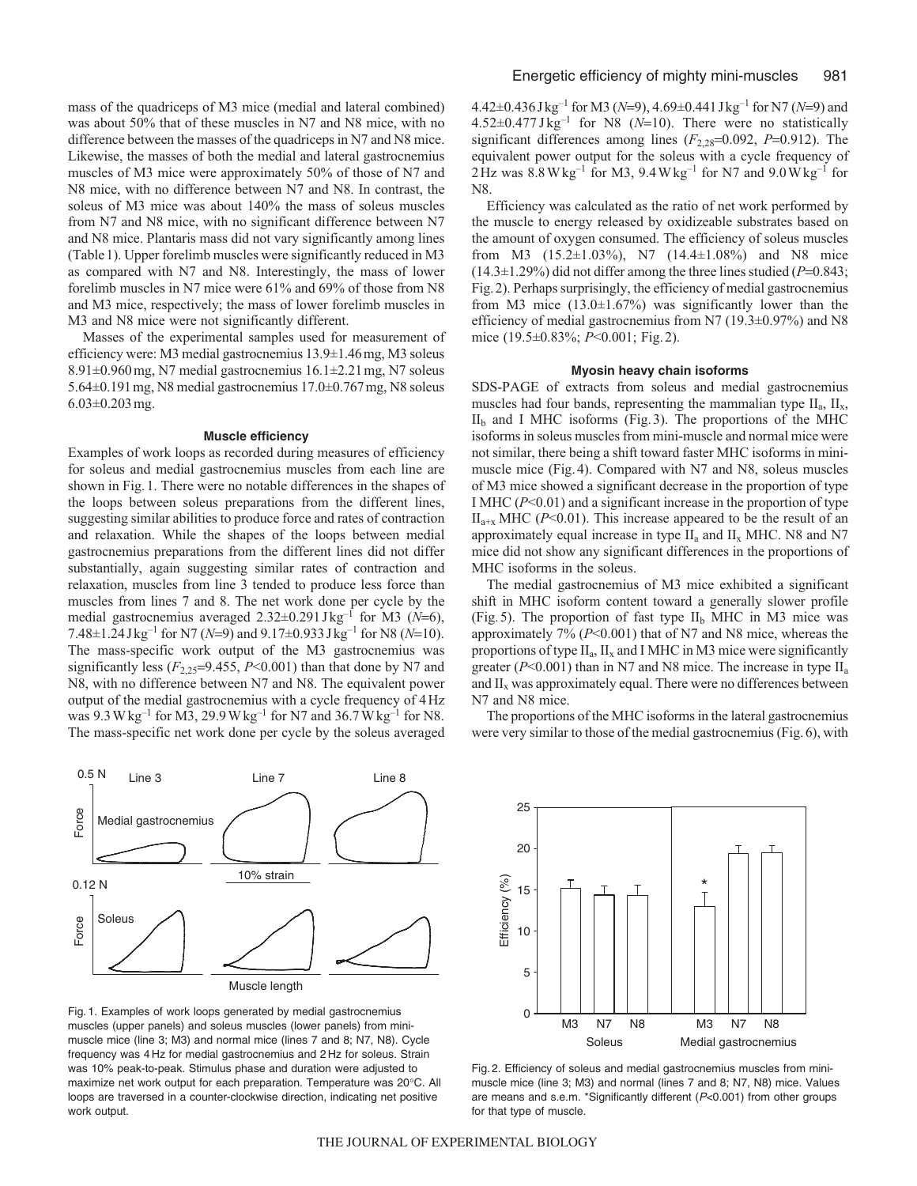mass of the quadriceps of M3 mice (medial and lateral combined) was about 50% that of these muscles in N7 and N8 mice, with no difference between the masses of the quadriceps in N7 and N8 mice. Likewise, the masses of both the medial and lateral gastrocnemius muscles of M3 mice were approximately 50% of those of N7 and N8 mice, with no difference between N7 and N8. In contrast, the soleus of M3 mice was about 140% the mass of soleus muscles from N7 and N8 mice, with no significant difference between N7 and N8 mice. Plantaris mass did not vary significantly among lines (Table1). Upper forelimb muscles were significantly reduced in M3 as compared with N7 and N8. Interestingly, the mass of lower forelimb muscles in N7 mice were 61% and 69% of those from N8 and M3 mice, respectively; the mass of lower forelimb muscles in M3 and N8 mice were not significantly different.

Masses of the experimental samples used for measurement of efficiency were: M3 medial gastrocnemius 13.9±1.46mg, M3 soleus 8.91±0.960mg, N7 medial gastrocnemius 16.1±2.21mg, N7 soleus 5.64±0.191mg, N8 medial gastrocnemius 17.0±0.767mg, N8 soleus 6.03±0.203mg.

#### **Muscle efficiency**

Examples of work loops as recorded during measures of efficiency for soleus and medial gastrocnemius muscles from each line are shown in Fig.1. There were no notable differences in the shapes of the loops between soleus preparations from the different lines, suggesting similar abilities to produce force and rates of contraction and relaxation. While the shapes of the loops between medial gastrocnemius preparations from the different lines did not differ substantially, again suggesting similar rates of contraction and relaxation, muscles from line 3 tended to produce less force than muscles from lines 7 and 8. The net work done per cycle by the medial gastrocnemius averaged 2.32±0.291 Jkg<sup>-1</sup> for M3 (N=6), 7.48±1.24Jkg–1 for N7 (*N*=9) and 9.17±0.933Jkg–1 for N8 (*N*=10). The mass-specific work output of the M3 gastrocnemius was significantly less  $(F_{2,25}=9.455, P<0.001)$  than that done by N7 and N8, with no difference between N7 and N8. The equivalent power output of the medial gastrocnemius with a cycle frequency of 4Hz was  $9.3 \text{ W kg}^{-1}$  for M3, 29.9 Wkg<sup>-1</sup> for N7 and  $36.7 \text{ W kg}^{-1}$  for N8. The mass-specific net work done per cycle by the soleus averaged



Fig. 1. Examples of work loops generated by medial gastrocnemius muscles (upper panels) and soleus muscles (lower panels) from minimuscle mice (line 3; M3) and normal mice (lines 7 and 8; N7, N8). Cycle frequency was 4 Hz for medial gastrocnemius and 2 Hz for soleus. Strain was 10% peak-to-peak. Stimulus phase and duration were adjusted to maximize net work output for each preparation. Temperature was 20°C. All loops are traversed in a counter-clockwise direction, indicating net positive work output.

4.42±0.436Jkg–1 for M3 (*N*=9), 4.69±0.441Jkg–1 for N7 (*N*=9) and  $4.52\pm0.477$  J kg<sup>-1</sup> for N8 ( $N=10$ ). There were no statistically significant differences among lines (*F*2,28=0.092, *P*=0.912). The equivalent power output for the soleus with a cycle frequency of  $2$  Hz was  $8.8$  W kg<sup>-1</sup> for M3, 9.4 W kg<sup>-1</sup> for N7 and 9.0 W kg<sup>-1</sup> for N8.

Efficiency was calculated as the ratio of net work performed by the muscle to energy released by oxidizeable substrates based on the amount of oxygen consumed. The efficiency of soleus muscles from M3 (15.2±1.03%), N7 (14.4±1.08%) and N8 mice (14.3±1.29%) did not differ among the three lines studied (*P*=0.843; Fig.2). Perhaps surprisingly, the efficiency of medial gastrocnemius from M3 mice  $(13.0 \pm 1.67\%)$  was significantly lower than the efficiency of medial gastrocnemius from N7 (19.3±0.97%) and N8 mice (19.5±0.83%; *P*<0.001; Fig.2).

#### **Myosin heavy chain isoforms**

SDS-PAGE of extracts from soleus and medial gastrocnemius muscles had four bands, representing the mammalian type  $II_a$ ,  $II_x$ ,  $II<sub>b</sub>$  and I MHC isoforms (Fig. 3). The proportions of the MHC isoforms in soleus muscles from mini-muscle and normal mice were not similar, there being a shift toward faster MHC isoforms in minimuscle mice (Fig.4). Compared with N7 and N8, soleus muscles of M3 mice showed a significant decrease in the proportion of type I MHC (*P*<0.01) and a significant increase in the proportion of type  $II_{a+x}$  MHC ( $P<0.01$ ). This increase appeared to be the result of an approximately equal increase in type  $II_a$  and  $II_x$  MHC. N8 and N7 mice did not show any significant differences in the proportions of MHC isoforms in the soleus.

The medial gastrocnemius of M3 mice exhibited a significant shift in MHC isoform content toward a generally slower profile (Fig.5). The proportion of fast type  $II<sub>b</sub>$  MHC in M3 mice was approximately 7% (*P*<0.001) that of N7 and N8 mice, whereas the proportions of type  $II_a$ ,  $II_x$  and I MHC in M3 mice were significantly greater ( $P \le 0.001$ ) than in N7 and N8 mice. The increase in type  $II_a$ and  $II_x$  was approximately equal. There were no differences between N7 and N8 mice.

The proportions of the MHC isoforms in the lateral gastrocnemius were very similar to those of the medial gastrocnemius (Fig.6), with



Fig. 2. Efficiency of soleus and medial gastrocnemius muscles from minimuscle mice (line 3; M3) and normal (lines 7 and 8; N7, N8) mice. Values are means and s.e.m. \*Significantly different (P<0.001) from other groups for that type of muscle.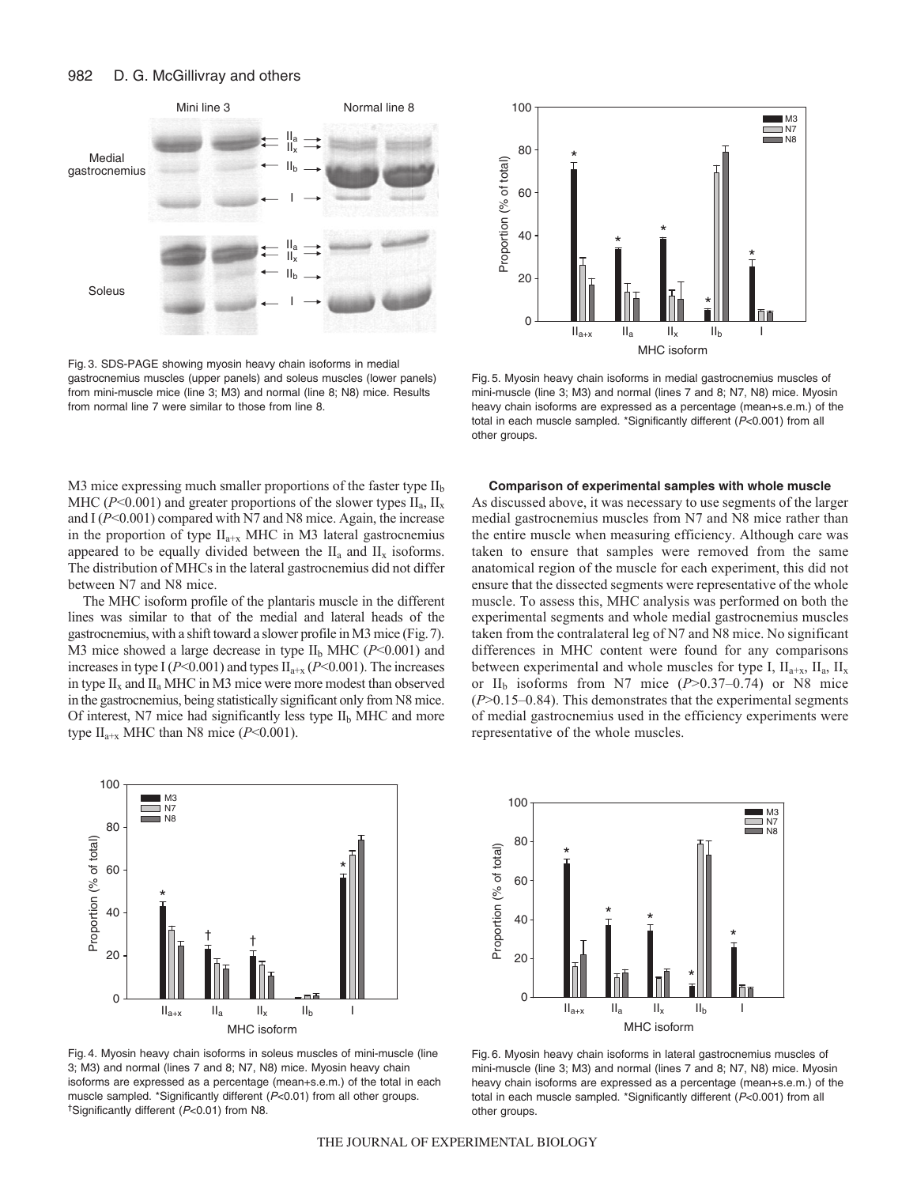

Fig. 3. SDS-PAGE showing myosin heavy chain isoforms in medial gastrocnemius muscles (upper panels) and soleus muscles (lower panels) from mini-muscle mice (line 3; M3) and normal (line 8; N8) mice. Results from normal line 7 were similar to those from line 8.



Fig. 5. Myosin heavy chain isoforms in medial gastrocnemius muscles of mini-muscle (line 3; M3) and normal (lines 7 and 8; N7, N8) mice. Myosin heavy chain isoforms are expressed as a percentage (mean+s.e.m.) of the total in each muscle sampled. \*Significantly different (P<0.001) from all other groups.

M3 mice expressing much smaller proportions of the faster type  $II<sub>b</sub>$ MHC ( $P<0.001$ ) and greater proportions of the slower types  $II_a$ ,  $II_x$ and I ( $P$ <0.001) compared with N7 and N8 mice. Again, the increase in the proportion of type  $II_{a+x}$  MHC in M3 lateral gastrocnemius appeared to be equally divided between the  $II_a$  and  $II_x$  isoforms. The distribution of MHCs in the lateral gastrocnemius did not differ between N7 and N8 mice.

The MHC isoform profile of the plantaris muscle in the different lines was similar to that of the medial and lateral heads of the gastrocnemius, with a shift toward a slower profile in M3 mice (Fig.7). M3 mice showed a large decrease in type II<sub>b</sub> MHC ( $P$ <0.001) and increases in type I ( $P<0.001$ ) and types  $II_{a+x}$  ( $P<0.001$ ). The increases in type  $II_x$  and  $II_a$  MHC in M3 mice were more modest than observed in the gastrocnemius, being statistically significant only from N8 mice. Of interest, N7 mice had significantly less type  $II<sub>b</sub>$  MHC and more type  $II_{a+x}$  MHC than N8 mice ( $P<0.001$ ).



Fig. 4. Myosin heavy chain isoforms in soleus muscles of mini-muscle (line 3; M3) and normal (lines 7 and 8; N7, N8) mice. Myosin heavy chain isoforms are expressed as a percentage (mean+s.e.m.) of the total in each muscle sampled. \*Significantly different (P<0.01) from all other groups. †Significantly different (P<0.01) from N8.

### **Comparison of experimental samples with whole muscle**

As discussed above, it was necessary to use segments of the larger medial gastrocnemius muscles from N7 and N8 mice rather than the entire muscle when measuring efficiency. Although care was taken to ensure that samples were removed from the same anatomical region of the muscle for each experiment, this did not ensure that the dissected segments were representative of the whole muscle. To assess this, MHC analysis was performed on both the experimental segments and whole medial gastrocnemius muscles taken from the contralateral leg of N7 and N8 mice. No significant differences in MHC content were found for any comparisons between experimental and whole muscles for type I,  $\text{II}_{a+x}$ ,  $\text{II}_{a}$ ,  $\text{II}_{x}$ or  $II<sub>b</sub>$  isoforms from N7 mice ( $P > 0.37-0.74$ ) or N8 mice (*P*>0.15–0.84). This demonstrates that the experimental segments of medial gastrocnemius used in the efficiency experiments were representative of the whole muscles.



Fig. 6. Myosin heavy chain isoforms in lateral gastrocnemius muscles of mini-muscle (line 3; M3) and normal (lines 7 and 8; N7, N8) mice. Myosin heavy chain isoforms are expressed as a percentage (mean+s.e.m.) of the total in each muscle sampled. \*Significantly different (P<0.001) from all other groups.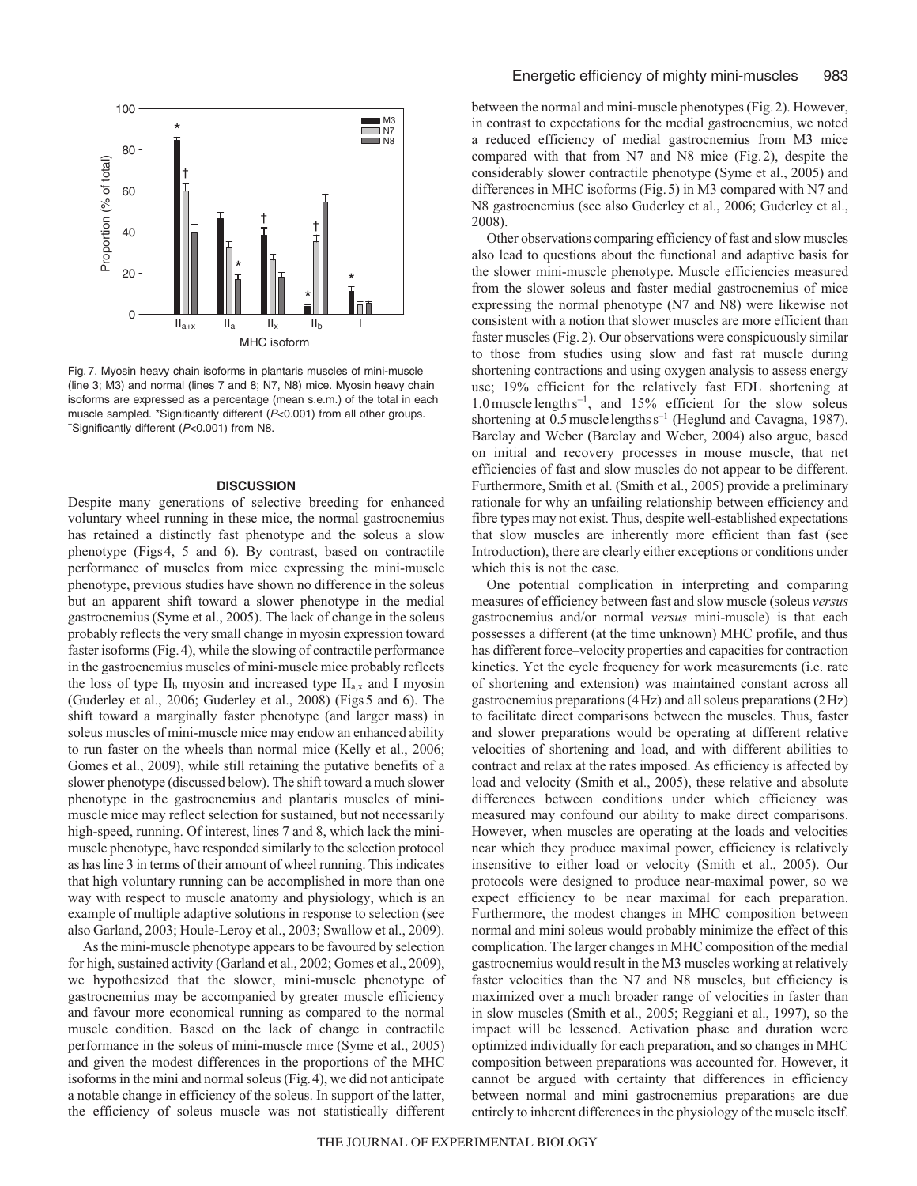

Fig. 7. Myosin heavy chain isoforms in plantaris muscles of mini-muscle (line 3; M3) and normal (lines 7 and 8; N7, N8) mice. Myosin heavy chain isoforms are expressed as a percentage (mean s.e.m.) of the total in each muscle sampled. \*Significantly different (P<0.001) from all other groups. †Significantly different (P<0.001) from N8.

# **DISCUSSION**

Despite many generations of selective breeding for enhanced voluntary wheel running in these mice, the normal gastrocnemius has retained a distinctly fast phenotype and the soleus a slow phenotype (Figs4, 5 and 6). By contrast, based on contractile performance of muscles from mice expressing the mini-muscle phenotype, previous studies have shown no difference in the soleus but an apparent shift toward a slower phenotype in the medial gastrocnemius (Syme et al., 2005). The lack of change in the soleus probably reflects the very small change in myosin expression toward faster isoforms (Fig.4), while the slowing of contractile performance in the gastrocnemius muscles of mini-muscle mice probably reflects the loss of type  $II<sub>b</sub>$  myosin and increased type  $II<sub>a,x</sub>$  and I myosin (Guderley et al., 2006; Guderley et al., 2008) (Figs5 and 6). The shift toward a marginally faster phenotype (and larger mass) in soleus muscles of mini-muscle mice may endow an enhanced ability to run faster on the wheels than normal mice (Kelly et al., 2006; Gomes et al., 2009), while still retaining the putative benefits of a slower phenotype (discussed below). The shift toward a much slower phenotype in the gastrocnemius and plantaris muscles of minimuscle mice may reflect selection for sustained, but not necessarily high-speed, running. Of interest, lines 7 and 8, which lack the minimuscle phenotype, have responded similarly to the selection protocol as has line 3 in terms of their amount of wheel running. This indicates that high voluntary running can be accomplished in more than one way with respect to muscle anatomy and physiology, which is an example of multiple adaptive solutions in response to selection (see also Garland, 2003; Houle-Leroy et al., 2003; Swallow et al., 2009).

As the mini-muscle phenotype appears to be favoured by selection for high, sustained activity (Garland et al., 2002; Gomes et al., 2009), we hypothesized that the slower, mini-muscle phenotype of gastrocnemius may be accompanied by greater muscle efficiency and favour more economical running as compared to the normal muscle condition. Based on the lack of change in contractile performance in the soleus of mini-muscle mice (Syme et al., 2005) and given the modest differences in the proportions of the MHC isoforms in the mini and normal soleus (Fig.4), we did not anticipate a notable change in efficiency of the soleus. In support of the latter, the efficiency of soleus muscle was not statistically different between the normal and mini-muscle phenotypes (Fig.2). However, in contrast to expectations for the medial gastrocnemius, we noted a reduced efficiency of medial gastrocnemius from M3 mice compared with that from N7 and N8 mice (Fig.2), despite the considerably slower contractile phenotype (Syme et al., 2005) and differences in MHC isoforms (Fig.5) in M3 compared with N7 and N8 gastrocnemius (see also Guderley et al., 2006; Guderley et al., 2008).

Other observations comparing efficiency of fast and slow muscles also lead to questions about the functional and adaptive basis for the slower mini-muscle phenotype. Muscle efficiencies measured from the slower soleus and faster medial gastrocnemius of mice expressing the normal phenotype (N7 and N8) were likewise not consistent with a notion that slower muscles are more efficient than faster muscles (Fig.2). Our observations were conspicuously similar to those from studies using slow and fast rat muscle during shortening contractions and using oxygen analysis to assess energy use; 19% efficient for the relatively fast EDL shortening at 1.0 muscle length  $s^{-1}$ , and 15% efficient for the slow soleus shortening at  $0.5$  muscle lengths  $s^{-1}$  (Heglund and Cavagna, 1987). Barclay and Weber (Barclay and Weber, 2004) also argue, based on initial and recovery processes in mouse muscle, that net efficiencies of fast and slow muscles do not appear to be different. Furthermore, Smith et al. (Smith et al., 2005) provide a preliminary rationale for why an unfailing relationship between efficiency and fibre types may not exist. Thus, despite well-established expectations that slow muscles are inherently more efficient than fast (see Introduction), there are clearly either exceptions or conditions under which this is not the case.

One potential complication in interpreting and comparing measures of efficiency between fast and slow muscle (soleus *versus* gastrocnemius and/or normal *versus* mini-muscle) is that each possesses a different (at the time unknown) MHC profile, and thus has different force–velocity properties and capacities for contraction kinetics. Yet the cycle frequency for work measurements (i.e. rate of shortening and extension) was maintained constant across all gastrocnemius preparations (4Hz) and all soleus preparations (2Hz) to facilitate direct comparisons between the muscles. Thus, faster and slower preparations would be operating at different relative velocities of shortening and load, and with different abilities to contract and relax at the rates imposed. As efficiency is affected by load and velocity (Smith et al., 2005), these relative and absolute differences between conditions under which efficiency was measured may confound our ability to make direct comparisons. However, when muscles are operating at the loads and velocities near which they produce maximal power, efficiency is relatively insensitive to either load or velocity (Smith et al., 2005). Our protocols were designed to produce near-maximal power, so we expect efficiency to be near maximal for each preparation. Furthermore, the modest changes in MHC composition between normal and mini soleus would probably minimize the effect of this complication. The larger changes in MHC composition of the medial gastrocnemius would result in the M3 muscles working at relatively faster velocities than the N7 and N8 muscles, but efficiency is maximized over a much broader range of velocities in faster than in slow muscles (Smith et al., 2005; Reggiani et al., 1997), so the impact will be lessened. Activation phase and duration were optimized individually for each preparation, and so changes in MHC composition between preparations was accounted for. However, it cannot be argued with certainty that differences in efficiency between normal and mini gastrocnemius preparations are due entirely to inherent differences in the physiology of the muscle itself.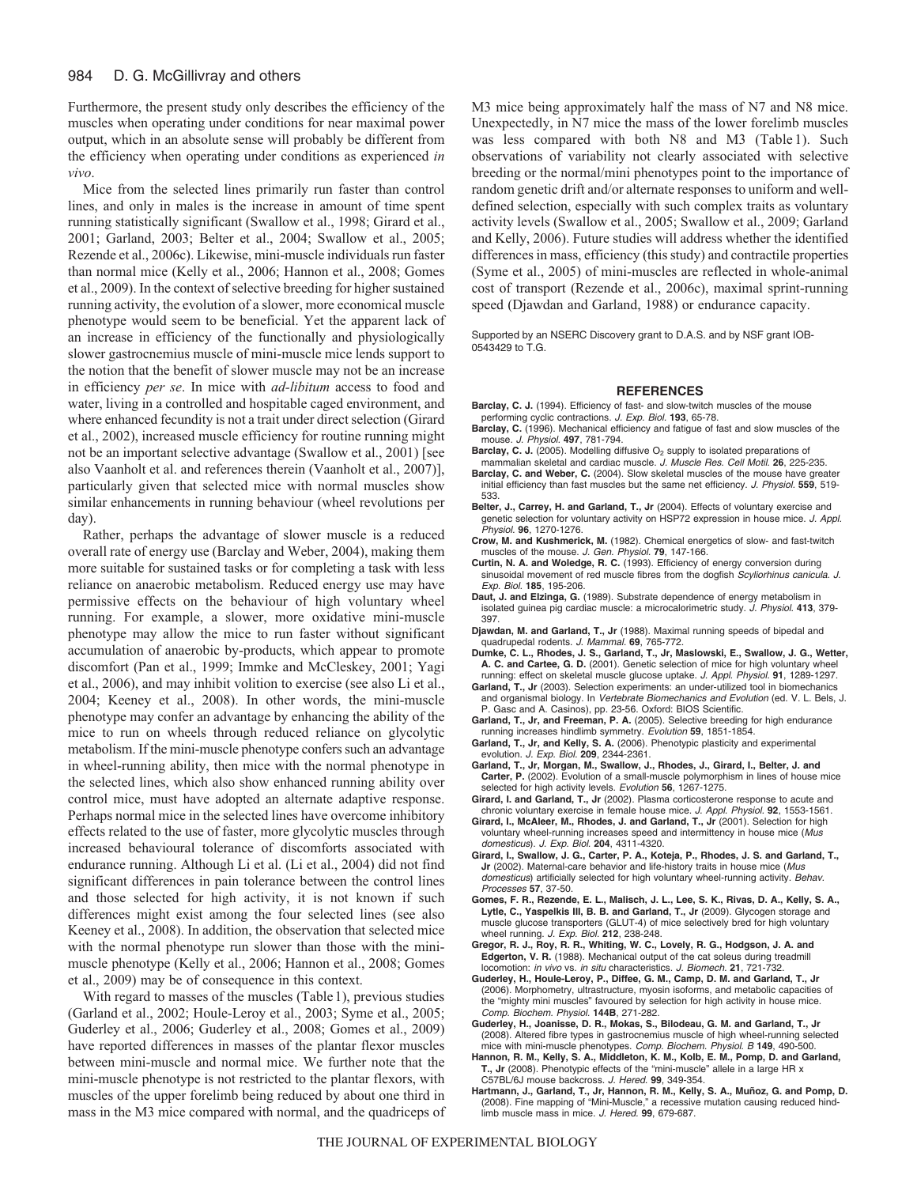#### 984 D. G. McGillivray and others

Furthermore, the present study only describes the efficiency of the muscles when operating under conditions for near maximal power output, which in an absolute sense will probably be different from the efficiency when operating under conditions as experienced *in vivo*.

Mice from the selected lines primarily run faster than control lines, and only in males is the increase in amount of time spent running statistically significant (Swallow et al., 1998; Girard et al., 2001; Garland, 2003; Belter et al., 2004; Swallow et al., 2005; Rezende et al., 2006c). Likewise, mini-muscle individuals run faster than normal mice (Kelly et al., 2006; Hannon et al., 2008; Gomes et al., 2009). In the context of selective breeding for higher sustained running activity, the evolution of a slower, more economical muscle phenotype would seem to be beneficial. Yet the apparent lack of an increase in efficiency of the functionally and physiologically slower gastrocnemius muscle of mini-muscle mice lends support to the notion that the benefit of slower muscle may not be an increase in efficiency *per se*. In mice with *ad-libitum* access to food and water, living in a controlled and hospitable caged environment, and where enhanced fecundity is not a trait under direct selection (Girard et al., 2002), increased muscle efficiency for routine running might not be an important selective advantage (Swallow et al., 2001) [see also Vaanholt et al. and references therein (Vaanholt et al., 2007)], particularly given that selected mice with normal muscles show similar enhancements in running behaviour (wheel revolutions per day).

Rather, perhaps the advantage of slower muscle is a reduced overall rate of energy use (Barclay and Weber, 2004), making them more suitable for sustained tasks or for completing a task with less reliance on anaerobic metabolism. Reduced energy use may have permissive effects on the behaviour of high voluntary wheel running. For example, a slower, more oxidative mini-muscle phenotype may allow the mice to run faster without significant accumulation of anaerobic by-products, which appear to promote discomfort (Pan et al., 1999; Immke and McCleskey, 2001; Yagi et al., 2006), and may inhibit volition to exercise (see also Li et al., 2004; Keeney et al., 2008). In other words, the mini-muscle phenotype may confer an advantage by enhancing the ability of the mice to run on wheels through reduced reliance on glycolytic metabolism. If the mini-muscle phenotype confers such an advantage in wheel-running ability, then mice with the normal phenotype in the selected lines, which also show enhanced running ability over control mice, must have adopted an alternate adaptive response. Perhaps normal mice in the selected lines have overcome inhibitory effects related to the use of faster, more glycolytic muscles through increased behavioural tolerance of discomforts associated with endurance running. Although Li et al. (Li et al., 2004) did not find significant differences in pain tolerance between the control lines and those selected for high activity, it is not known if such differences might exist among the four selected lines (see also Keeney et al., 2008). In addition, the observation that selected mice with the normal phenotype run slower than those with the minimuscle phenotype (Kelly et al., 2006; Hannon et al., 2008; Gomes et al., 2009) may be of consequence in this context.

With regard to masses of the muscles (Table1), previous studies (Garland et al., 2002; Houle-Leroy et al., 2003; Syme et al., 2005; Guderley et al., 2006; Guderley et al., 2008; Gomes et al., 2009) have reported differences in masses of the plantar flexor muscles between mini-muscle and normal mice. We further note that the mini-muscle phenotype is not restricted to the plantar flexors, with muscles of the upper forelimb being reduced by about one third in mass in the M3 mice compared with normal, and the quadriceps of M3 mice being approximately half the mass of N7 and N8 mice. Unexpectedly, in N7 mice the mass of the lower forelimb muscles was less compared with both N8 and M3 (Table 1). Such observations of variability not clearly associated with selective breeding or the normal/mini phenotypes point to the importance of random genetic drift and/or alternate responses to uniform and welldefined selection, especially with such complex traits as voluntary activity levels (Swallow et al., 2005; Swallow et al., 2009; Garland and Kelly, 2006). Future studies will address whether the identified differences in mass, efficiency (this study) and contractile properties (Syme et al., 2005) of mini-muscles are reflected in whole-animal cost of transport (Rezende et al., 2006c), maximal sprint-running speed (Djawdan and Garland, 1988) or endurance capacity.

Supported by an NSERC Discovery grant to D.A.S. and by NSF grant IOB-0543429 to T.G.

#### **REFERENCES**

- Barclay, C. J. (1994). Efficiency of fast- and slow-twitch muscles of the mouse performing cyclic contractions. J. Exp. Biol. **193**, 65-78.
- **Barclay, C.** (1996). Mechanical efficiency and fatigue of fast and slow muscles of the mouse. J. Physiol. **497**, 781-794.
- **Barclay, C. J.** (2005). Modelling diffusive O<sub>2</sub> supply to isolated preparations of mammalian skeletal and cardiac muscle. J. Muscle Res. Cell Motil. **26**, 225-235.
- **Barclay, C. and Weber, C.** (2004). Slow skeletal muscles of the mouse have greater initial efficiency than fast muscles but the same net efficiency. J. Physiol. **559**, 519- 533.
- **Belter, J., Carrey, H. and Garland, T., Jr** (2004). Effects of voluntary exercise and genetic selection for voluntary activity on HSP72 expression in house mice. J. Appl. Physiol. **96**, 1270-1276.
- **Crow, M. and Kushmerick, M.** (1982). Chemical energetics of slow- and fast-twitch muscles of the mouse. J. Gen. Physiol. **79**, 147-166.
- **Curtin, N. A. and Woledge, R. C.** (1993). Efficiency of energy conversion during sinusoidal movement of red muscle fibres from the dogfish Scyliorhinus canicula. J. Exp. Biol. **185**, 195-206.
- **Daut, J. and Elzinga, G.** (1989). Substrate dependence of energy metabolism in isolated guinea pig cardiac muscle: a microcalorimetric study. J. Physiol. **413**, 379- 397.
- **Djawdan, M. and Garland, T., Jr** (1988). Maximal running speeds of bipedal and quadrupedal rodents. J. Mammal. **69**, 765-772.
- **Dumke, C. L., Rhodes, J. S., Garland, T., Jr, Maslowski, E., Swallow, J. G., Wetter, A. C. and Cartee, G. D.** (2001). Genetic selection of mice for high voluntary wheel running: effect on skeletal muscle glucose uptake. J. Appl. Physiol. **91**, 1289-1297.
- **Garland, T., Jr** (2003). Selection experiments: an under-utilized tool in biomechanics and organismal biology. In Vertebrate Biomechanics and Evolution (ed. V. L. Bels, J. P. Gasc and A. Casinos), pp. 23-56. Oxford: BIOS Scientific.
- **Garland, T., Jr, and Freeman, P. A.** (2005). Selective breeding for high endurance running increases hindlimb symmetry. Evolution **59**, 1851-1854.
- **Garland, T., Jr, and Kelly, S. A.** (2006). Phenotypic plasticity and experimental evolution. J. Exp. Biol. **209**, 2344-2361.
- **Garland, T., Jr, Morgan, M., Swallow, J., Rhodes, J., Girard, I., Belter, J. and Carter, P.** (2002). Evolution of a small-muscle polymorphism in lines of house mice selected for high activity levels. Evolution **56**, 1267-1275.
- **Girard, I. and Garland, T., Jr** (2002). Plasma corticosterone response to acute and chronic voluntary exercise in female house mice. J. Appl. Physiol. **92**, 1553-1561.
- **Girard, I., McAleer, M., Rhodes, J. and Garland, T., Jr** (2001). Selection for high voluntary wheel-running increases speed and intermittency in house mice (Mus domesticus). J. Exp. Biol. **204**, 4311-4320.
- **Girard, I., Swallow, J. G., Carter, P. A., Koteja, P., Rhodes, J. S. and Garland, T., Jr** (2002). Maternal-care behavior and life-history traits in house mice (Mus domesticus) artificially selected for high voluntary wheel-running activity. Behav. Processes **57**, 37-50.
- **Gomes, F. R., Rezende, E. L., Malisch, J. L., Lee, S. K., Rivas, D. A., Kelly, S. A., Lytle, C., Yaspelkis III, B. B. and Garland, T., Jr** (2009). Glycogen storage and muscle glucose transporters (GLUT-4) of mice selectively bred for high voluntary wheel running. J. Exp. Biol. **212**, 238-248.
- **Gregor, R. J., Roy, R. R., Whiting, W. C., Lovely, R. G., Hodgson, J. A. and Edgerton, V. R.** (1988). Mechanical output of the cat soleus during treadmill locomotion: in vivo vs. in situ characteristics. J. Biomech. **21**, 721-732.
- **Guderley, H., Houle-Leroy, P., Diffee, G. M., Camp, D. M. and Garland, T., Jr** (2006). Morphometry, ultrastructure, myosin isoforms, and metabolic capacities of the "mighty mini muscles" favoured by selection for high activity in house mice. Comp. Biochem. Physiol. **144B**, 271-282.
- **Guderley, H., Joanisse, D. R., Mokas, S., Bilodeau, G. M. and Garland, T., Jr** (2008). Altered fibre types in gastrocnemius muscle of high wheel-running selected mice with mini-muscle phenotypes. Comp. Biochem. Physiol. B **149**, 490-500.
- **Hannon, R. M., Kelly, S. A., Middleton, K. M., Kolb, E. M., Pomp, D. and Garland, T., Jr** (2008). Phenotypic effects of the "mini-muscle" allele in a large HR x C57BL/6J mouse backcross. J. Hered. **99**, 349-354.
- **Hartmann, J., Garland, T., Jr, Hannon, R. M., Kelly, S. A., Muñoz, G. and Pomp, D.** (2008). Fine mapping of "Mini-Muscle," a recessive mutation causing reduced hindlimb muscle mass in mice. J. Hered. **99**, 679-687.